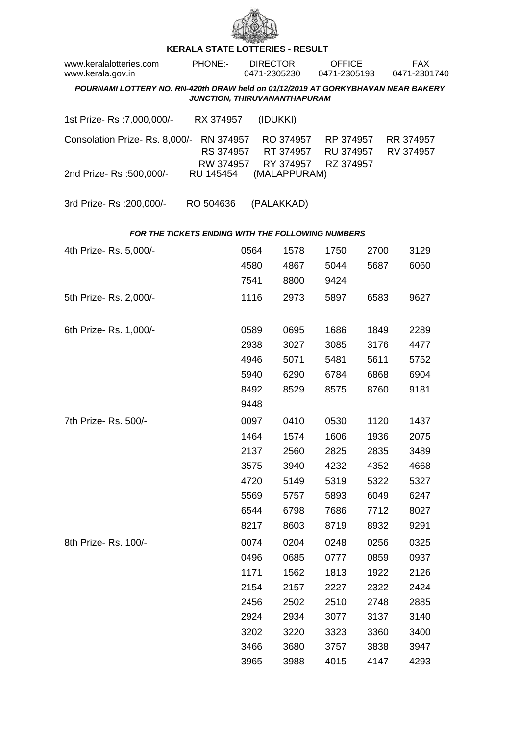

## **KERALA STATE LOTTERIES - RESULT**

| www.keralalotteries.com<br>www.kerala.gov.in                                                                     |  | <b>PHONE:-</b>                      | <b>DIRECTOR</b><br>0471-2305230 |          |                                     | <b>OFFICE</b><br>0471-2305193 |                                     |      | FAX.<br>0471-2301740 |                        |  |  |
|------------------------------------------------------------------------------------------------------------------|--|-------------------------------------|---------------------------------|----------|-------------------------------------|-------------------------------|-------------------------------------|------|----------------------|------------------------|--|--|
| POURNAMI LOTTERY NO. RN-420th DRAW held on 01/12/2019 AT GORKYBHAVAN NEAR BAKERY<br>JUNCTION, THIRUVANANTHAPURAM |  |                                     |                                 |          |                                     |                               |                                     |      |                      |                        |  |  |
| 1st Prize- Rs : 7,000,000/-                                                                                      |  | RX 374957                           |                                 | (IDUKKI) |                                     |                               |                                     |      |                      |                        |  |  |
| Consolation Prize-Rs. 8,000/-                                                                                    |  | RN 374957<br>RS 374957<br>RW 374957 |                                 |          | RO 374957<br>RT 374957<br>RY 374957 |                               | RP 374957<br>RU 374957<br>RZ 374957 |      |                      | RR 374957<br>RV 374957 |  |  |
| 2nd Prize-Rs :500,000/-                                                                                          |  | RU 145454                           |                                 |          | (MALAPPURAM)                        |                               |                                     |      |                      |                        |  |  |
| 3rd Prize-Rs : 200,000/-                                                                                         |  | RO 504636                           |                                 |          | (PALAKKAD)                          |                               |                                     |      |                      |                        |  |  |
| <b>FOR THE TICKETS ENDING WITH THE FOLLOWING NUMBERS</b>                                                         |  |                                     |                                 |          |                                     |                               |                                     |      |                      |                        |  |  |
| 4th Prize-Rs. 5,000/-                                                                                            |  |                                     | 0564                            |          | 1578                                | 1750                          |                                     | 2700 |                      | 3129                   |  |  |
|                                                                                                                  |  |                                     | 4580                            |          | 4867                                | 5044                          |                                     | 5687 |                      | 6060                   |  |  |
|                                                                                                                  |  |                                     | 7541                            |          | 8800                                | 9424                          |                                     |      |                      |                        |  |  |
| 5th Prize-Rs. 2,000/-                                                                                            |  |                                     | 1116                            |          | 2973                                | 5897                          |                                     | 6583 |                      | 9627                   |  |  |
| 6th Prize-Rs. 1,000/-                                                                                            |  |                                     | 0589                            |          | 0695                                | 1686                          |                                     | 1849 |                      | 2289                   |  |  |
|                                                                                                                  |  |                                     | 2938                            |          | 3027                                | 3085                          |                                     | 3176 |                      | 4477                   |  |  |
|                                                                                                                  |  |                                     | 4946                            |          | 5071                                | 5481                          |                                     | 5611 |                      | 5752                   |  |  |
|                                                                                                                  |  |                                     | 5940                            |          | 6290                                | 6784                          |                                     | 6868 |                      | 6904                   |  |  |
|                                                                                                                  |  |                                     | 8492                            |          | 8529                                | 8575                          |                                     | 8760 |                      | 9181                   |  |  |
|                                                                                                                  |  |                                     | 9448                            |          |                                     |                               |                                     |      |                      |                        |  |  |
| 7th Prize-Rs. 500/-                                                                                              |  |                                     | 0097                            |          | 0410                                | 0530                          |                                     | 1120 |                      | 1437                   |  |  |
|                                                                                                                  |  |                                     | 1464                            |          | 1574                                | 1606                          |                                     | 1936 |                      | 2075                   |  |  |
|                                                                                                                  |  |                                     | 2137                            |          | 2560                                | 2825                          |                                     | 2835 |                      | 3489                   |  |  |
|                                                                                                                  |  |                                     | 3575                            |          | 3940                                | 4232                          |                                     | 4352 |                      | 4668                   |  |  |
|                                                                                                                  |  |                                     | 4720                            |          | 5149                                | 5319                          |                                     | 5322 |                      | 5327                   |  |  |
|                                                                                                                  |  |                                     | 5569                            |          | 5757                                | 5893                          |                                     | 6049 |                      | 6247                   |  |  |
|                                                                                                                  |  |                                     | 6544                            |          | 6798                                | 7686                          |                                     | 7712 |                      | 8027                   |  |  |
|                                                                                                                  |  |                                     | 8217                            |          | 8603                                | 8719                          |                                     | 8932 |                      | 9291                   |  |  |
| 8th Prize-Rs. 100/-                                                                                              |  |                                     | 0074                            |          | 0204                                | 0248                          |                                     | 0256 |                      | 0325                   |  |  |
|                                                                                                                  |  |                                     | 0496                            |          | 0685                                | 0777                          |                                     | 0859 |                      | 0937                   |  |  |
|                                                                                                                  |  |                                     | 1171                            |          | 1562                                | 1813                          |                                     | 1922 |                      | 2126                   |  |  |
|                                                                                                                  |  |                                     | 2154                            |          | 2157                                | 2227                          |                                     | 2322 |                      | 2424                   |  |  |
|                                                                                                                  |  |                                     | 2456                            |          | 2502                                | 2510                          |                                     | 2748 |                      | 2885                   |  |  |
|                                                                                                                  |  |                                     | 2924                            |          | 2934                                | 3077                          |                                     | 3137 |                      | 3140                   |  |  |
|                                                                                                                  |  |                                     | 3202                            |          | 3220                                | 3323                          |                                     | 3360 |                      | 3400                   |  |  |
|                                                                                                                  |  |                                     | 3466                            |          | 3680                                | 3757                          |                                     | 3838 |                      | 3947                   |  |  |
|                                                                                                                  |  |                                     | 3965                            |          | 3988                                | 4015                          |                                     | 4147 |                      | 4293                   |  |  |